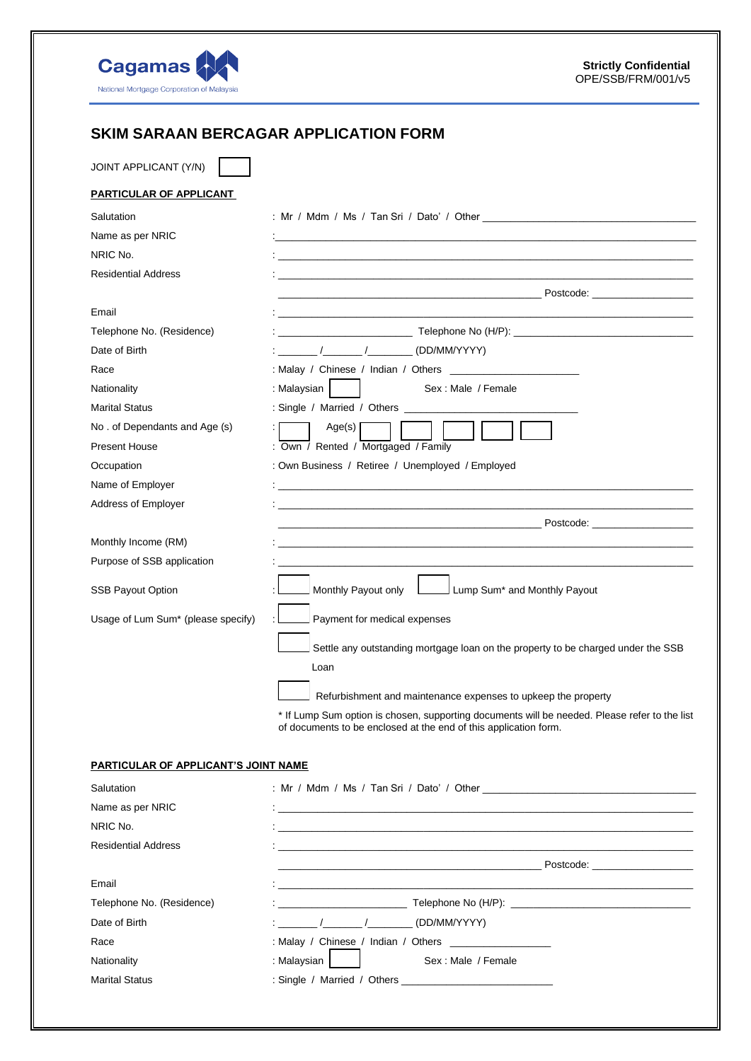

## **SKIM SARAAN BERCAGAR APPLICATION FORM**

JOINT APPLICANT (Y/N)

| PARTICULAR OF APPLICANT              |                                                                                                                       |  |  |  |
|--------------------------------------|-----------------------------------------------------------------------------------------------------------------------|--|--|--|
| Salutation                           |                                                                                                                       |  |  |  |
| Name as per NRIC                     |                                                                                                                       |  |  |  |
| NRIC No.                             |                                                                                                                       |  |  |  |
| <b>Residential Address</b>           |                                                                                                                       |  |  |  |
|                                      |                                                                                                                       |  |  |  |
| Email                                |                                                                                                                       |  |  |  |
| Telephone No. (Residence)            | $\blacksquare$ Telephone No (H/P): $\blacksquare$                                                                     |  |  |  |
| Date of Birth                        | $\sqrt{2}$ / $\sqrt{2}$ (DD/MM/YYYY)                                                                                  |  |  |  |
| Race                                 |                                                                                                                       |  |  |  |
| Nationality                          | : Malaysian  <br>Sex: Male / Female                                                                                   |  |  |  |
| <b>Marital Status</b>                |                                                                                                                       |  |  |  |
| No. of Dependants and Age (s)        | Age(s) $\vert$                                                                                                        |  |  |  |
| <b>Present House</b>                 | : Own / Rented / Mortgaged / Family                                                                                   |  |  |  |
| Occupation                           | : Own Business / Retiree / Unemployed / Employed                                                                      |  |  |  |
| Name of Employer                     |                                                                                                                       |  |  |  |
| Address of Employer                  | <u> 1989 - Johann John Stone, markin sanat masjid a shekara ta 1989 - An tsarat masjid a shekara ta 1980 - An tsa</u> |  |  |  |
|                                      |                                                                                                                       |  |  |  |
| Monthly Income (RM)                  |                                                                                                                       |  |  |  |
| Purpose of SSB application           |                                                                                                                       |  |  |  |
| <b>SSB Payout Option</b>             | Monthly Payout only <b>Later Lump Sum<sup>*</sup></b> and Monthly Payout                                              |  |  |  |
| Usage of Lum Sum* (please specify)   | Payment for medical expenses                                                                                          |  |  |  |
|                                      | Settle any outstanding mortgage loan on the property to be charged under the SSB                                      |  |  |  |
|                                      | Loan                                                                                                                  |  |  |  |
|                                      | Refurbishment and maintenance expenses to upkeep the property                                                         |  |  |  |
|                                      | * If Lump Sum option is chosen, supporting documents will be needed. Please refer to the list                         |  |  |  |
|                                      | of documents to be enclosed at the end of this application form.                                                      |  |  |  |
| PARTICULAR OF APPLICANT'S JOINT NAME |                                                                                                                       |  |  |  |
| Salutation                           |                                                                                                                       |  |  |  |
| Name as per NRIC                     |                                                                                                                       |  |  |  |
| NRIC No.                             |                                                                                                                       |  |  |  |
| <b>Residential Address</b>           |                                                                                                                       |  |  |  |
|                                      |                                                                                                                       |  |  |  |
| Email                                |                                                                                                                       |  |  |  |
| Telephone No. (Residence)            |                                                                                                                       |  |  |  |
| Date of Birth                        |                                                                                                                       |  |  |  |
| Race                                 |                                                                                                                       |  |  |  |

Nationality **Sex** : Malaysian Nationality : Malaysian Sex : Male / Female

Marital Status : Single / Married / Others \_\_\_\_\_\_\_\_\_\_\_\_\_\_\_\_\_\_\_\_\_\_\_\_\_\_\_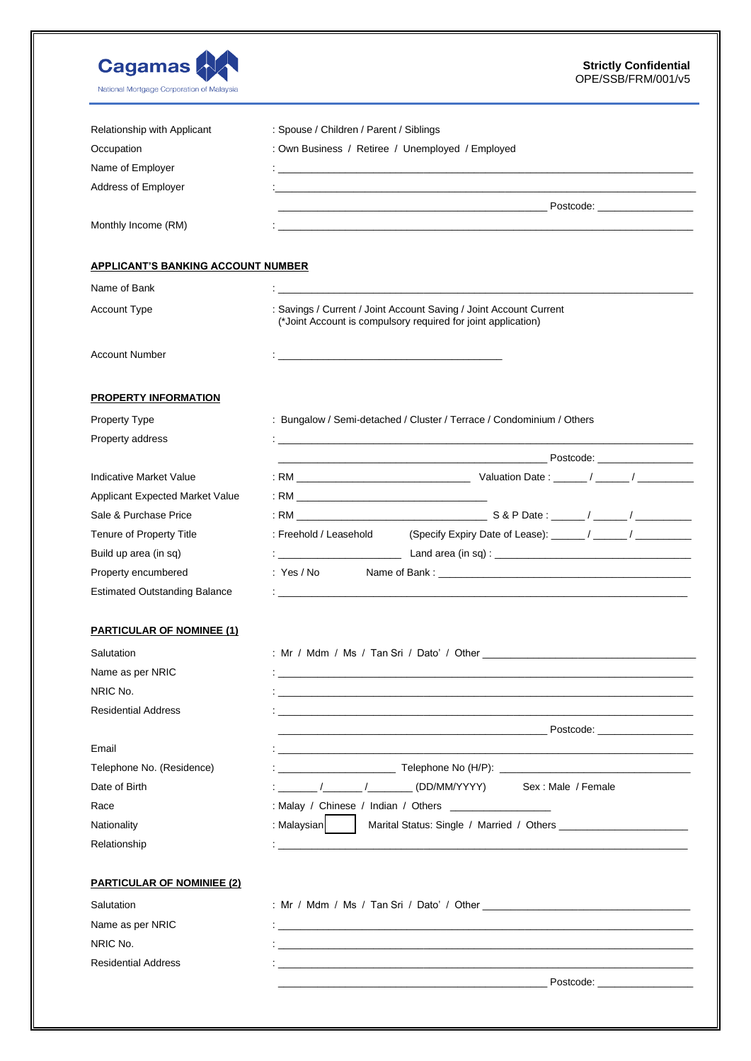| <b>Cagamas</b><br>National Mortgage Corporation of Malaysia | <b>Strictly Confidential</b><br>OPE/SSB/FRM/001/v5                                                                                  |  |  |
|-------------------------------------------------------------|-------------------------------------------------------------------------------------------------------------------------------------|--|--|
| Relationship with Applicant                                 | : Spouse / Children / Parent / Siblings                                                                                             |  |  |
| Occupation                                                  | : Own Business / Retiree / Unemployed / Employed                                                                                    |  |  |
| Name of Employer                                            |                                                                                                                                     |  |  |
| Address of Employer                                         |                                                                                                                                     |  |  |
|                                                             | <u> Postcode: International American Control Destructure of the Postcode: International Postcode:</u>                               |  |  |
| Monthly Income (RM)                                         |                                                                                                                                     |  |  |
| <b>APPLICANT'S BANKING ACCOUNT NUMBER</b>                   |                                                                                                                                     |  |  |
| Name of Bank                                                |                                                                                                                                     |  |  |
| <b>Account Type</b>                                         | : Savings / Current / Joint Account Saving / Joint Account Current<br>(*Joint Account is compulsory required for joint application) |  |  |
| <b>Account Number</b>                                       |                                                                                                                                     |  |  |
| <b>PROPERTY INFORMATION</b>                                 |                                                                                                                                     |  |  |
| <b>Property Type</b>                                        | : Bungalow / Semi-detached / Cluster / Terrace / Condominium / Others                                                               |  |  |
| Property address                                            | and the control of the control of the control of the control of the control of the control of the control of the                    |  |  |
|                                                             |                                                                                                                                     |  |  |
| Indicative Market Value                                     |                                                                                                                                     |  |  |
| Applicant Expected Market Value                             |                                                                                                                                     |  |  |
| Sale & Purchase Price                                       |                                                                                                                                     |  |  |
| Tenure of Property Title                                    | : Freehold / Leasehold                                                                                                              |  |  |
| Build up area (in sq)                                       |                                                                                                                                     |  |  |
| Property encumbered                                         | :Yes / No                                                                                                                           |  |  |
| <b>Estimated Outstanding Balance</b>                        | <u> 1988 - Andrea Santa Andrea Andrea Andrea Andrea Andrea Andrea Andrea Andrea Andrea Andrea Andrea Andrea Andr</u>                |  |  |
| <b>PARTICULAR OF NOMINEE (1)</b>                            |                                                                                                                                     |  |  |
| Salutation                                                  |                                                                                                                                     |  |  |
| Name as per NRIC                                            |                                                                                                                                     |  |  |
| NRIC No.                                                    | and the control of the control of the control of the control of the control of the control of the control of the                    |  |  |
| <b>Residential Address</b>                                  |                                                                                                                                     |  |  |
|                                                             |                                                                                                                                     |  |  |
| Email                                                       | <u> 1990 - Jan Barbara, martxa al II-lea (h. 1980).</u>                                                                             |  |  |
| Telephone No. (Residence)                                   |                                                                                                                                     |  |  |
| Date of Birth                                               | : ________ /_______ /__________ (DD/MM/YYYY)<br>Sex: Male / Female                                                                  |  |  |
| Race                                                        |                                                                                                                                     |  |  |
| Nationality                                                 | : Malaysian<br>Marital Status: Single / Married / Others                                                                            |  |  |
| Relationship                                                | <u> 1988 - Johann John Stone, marwolaethau (b. 1989)</u>                                                                            |  |  |
| <b>PARTICULAR OF NOMINIEE (2)</b>                           |                                                                                                                                     |  |  |
| Salutation                                                  |                                                                                                                                     |  |  |
| Name as per NRIC                                            |                                                                                                                                     |  |  |
| NRIC No.                                                    | <u> 1989 - Johann Stoff, Amerikaansk politiker (* 1989)</u>                                                                         |  |  |
| <b>Residential Address</b>                                  |                                                                                                                                     |  |  |
|                                                             |                                                                                                                                     |  |  |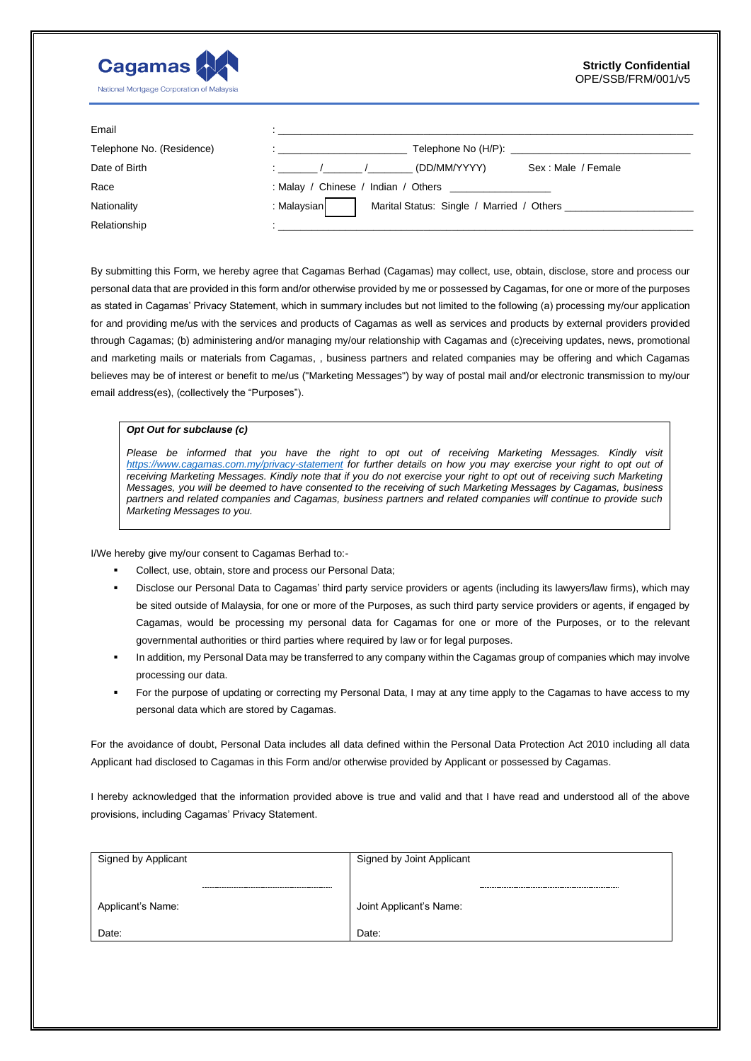

| Email                     |                                                                     |
|---------------------------|---------------------------------------------------------------------|
| Telephone No. (Residence) | Telephone No (H/P):<br>the company of the company of the            |
| Date of Birth             | (DD/MM/YYYY)<br>Sex: Male / Female                                  |
| Race                      | : Malay / Chinese / Indian / Others                                 |
| Nationality               | : Malaysian<br>Marital Status: Single / Married / Others __________ |
| Relationship              |                                                                     |

By submitting this Form, we hereby agree that Cagamas Berhad (Cagamas) may collect, use, obtain, disclose, store and process our personal data that are provided in this form and/or otherwise provided by me or possessed by Cagamas, for one or more of the purposes as stated in Cagamas' Privacy Statement, which in summary includes but not limited to the following (a) processing my/our application for and providing me/us with the services and products of Cagamas as well as services and products by external providers provided through Cagamas; (b) administering and/or managing my/our relationship with Cagamas and (c)receiving updates, news, promotional and marketing mails or materials from Cagamas, , business partners and related companies may be offering and which Cagamas believes may be of interest or benefit to me/us ("Marketing Messages") by way of postal mail and/or electronic transmission to my/our email address(es), (collectively the "Purposes").

## *Opt Out for subclause (c)*

Please be informed that you have the right to opt out of receiving Marketing Messages. Kindly visit <https://www.cagamas.com.my/privacy-statement> for further details on how you may exercise your right to opt out of *receiving Marketing Messages. Kindly note that if you do not exercise your right to opt out of receiving such Marketing Messages, you will be deemed to have consented to the receiving of such Marketing Messages by Cagamas, business partners and related companies and Cagamas, business partners and related companies will continue to provide such Marketing Messages to you.*

I/We hereby give my/our consent to Cagamas Berhad to:-

- Collect, use, obtain, store and process our Personal Data;
- Disclose our Personal Data to Cagamas' third party service providers or agents (including its lawyers/law firms), which may be sited outside of Malaysia, for one or more of the Purposes, as such third party service providers or agents, if engaged by Cagamas, would be processing my personal data for Cagamas for one or more of the Purposes, or to the relevant governmental authorities or third parties where required by law or for legal purposes.
- In addition, my Personal Data may be transferred to any company within the Cagamas group of companies which may involve processing our data.
- For the purpose of updating or correcting my Personal Data, I may at any time apply to the Cagamas to have access to my personal data which are stored by Cagamas.

For the avoidance of doubt, Personal Data includes all data defined within the Personal Data Protection Act 2010 including all data Applicant had disclosed to Cagamas in this Form and/or otherwise provided by Applicant or possessed by Cagamas.

I hereby acknowledged that the information provided above is true and valid and that I have read and understood all of the above provisions, including Cagamas' Privacy Statement.

| Signed by Applicant |  | Signed by Joint Applicant |  |
|---------------------|--|---------------------------|--|
|                     |  |                           |  |
| Applicant's Name:   |  | Joint Applicant's Name:   |  |
| Date:               |  | Date:                     |  |